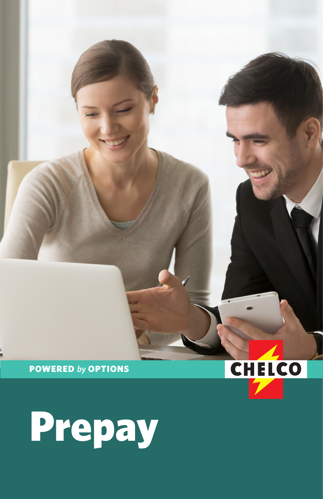POWERED *by* OPTIONS



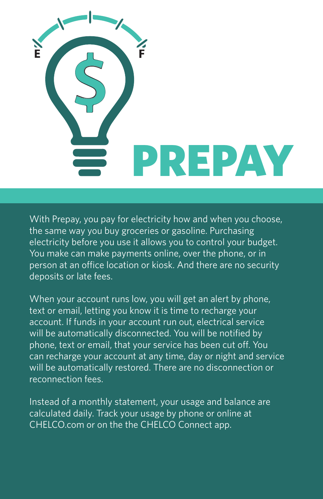

With Prepay, you pay for electricity how and when you choose, the same way you buy groceries or gasoline. Purchasing electricity before you use it allows you to control your budget. You make can make payments online, over the phone, or in person at an office location or kiosk. And there are no security deposits or late fees.

When your account runs low, you will get an alert by phone, text or email, letting you know it is time to recharge your account. If funds in your account run out, electrical service will be automatically disconnected. You will be notified by phone, text or email, that your service has been cut off. You can recharge your account at any time, day or night and service will be automatically restored. There are no disconnection or reconnection fees.

Instead of a monthly statement, your usage and balance are calculated daily. Track your usage by phone or online at CHELCO.com or on the the CHELCO Connect app.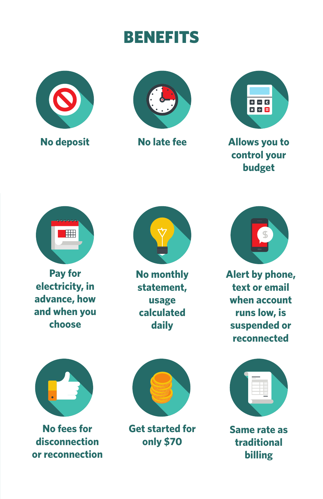## **BENEFITS**







**No deposit No late fee Allows you to control your budget**



**Pay for electricity, in advance, how and when you choose**



**No monthly statement, usage calculated daily**



**Alert by phone, text or email when account runs low, is suspended or reconnected**



**No fees for disconnection or reconnection**



**Get started for only \$70**



**Same rate as traditional billing**